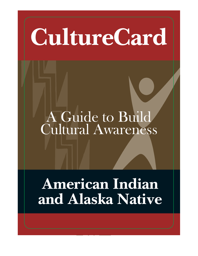# **CultureCard**

## A Guide to Build Cultural Awareness

## **American Indian and Alaska Native**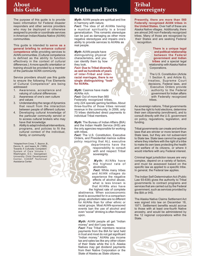## **About this Guide**

The purpose of this guide is to provide basic information for Federal disaster responders and other service providers who may be deployed or otherwise assigned to provide or coordinate services in American Indian/Alaska Native (AI/AN) communities.

This guide is intended to **serve as a**  general briefing to enhance cultural **competence** while providing services to AI/AN communities. (Cultural competence is defined as the ability to function effectively in the context of cultural differences.) A more specific orientation or training should be provided by a member of the particular AI/AN community.

Service providers should use this guide to ensure the following Five Elements of Cultural Competence\* are being addressed:

- 1. Awareness, acceptance and valuing of cultural differences
- 2. Awareness of one's own culture and values
- 3. Understanding the range of dynamics that result from the interaction between people of different cultures
- 4. Developing cultural knowledge of the particular community served or to access cultural brokers who may have that knowledge
- 5. Ability to adapt individual interventions, programs, and policies to fit the cultural context of the individual, family, or community

\*Adapted from Cross, T., Bazron, B., Dennis, K., and Isaacs, M. (1989). Towards A Culturally Competent System of Care Volume I. Washington, D.C.: Georgetown University Child Development Center, CASSP Technical Assistance Center.

## **Myths and Facts**

*Myth:* AI/AN people are spiritual and live in harmony with nature.

*Fact:* The idea of all AI/ANs having a mystical spirituality is a broad generalization. This romantic stereotype can be just as damaging as other more negative stereotypes and impairs one's ability to provide services to AI/ANs as real people.

*Myth:* AI/AN people have distinguishing physical characteristics, and you can identify them by how they look.

*Fact:* **Due to Tribal diversity, as well as hundreds of years of inter-Tribal and interracial marriages, there is no single distinguishing "look" for AI/ANs.**

*Myth:* Casinos have made AI/ANs rich. *Fact:* Out of more than 560 Federally recognized tribes, only 224 operate gaming facilities. About three-fourths of those tribes reinvest revenue in the community. In 2006, only 73 tribes distributed direct payments to individual Tribal members.

*Myth:* The Bureau of Indian Affairs (BIA) and the Indian Health Service (IHS) are the only agencies responsible for working with tribes.

*Fact:* The U.S. Constitution, Executive Orders, and Presidential memos outline policy requiring that ALL executive

departments have the responsibility to consult with and respect Tribal sovereignty.

*Myth:* AI/ANs have the highest rate of alcoholism.

*Fact:* While many tribes and AI/AN villages do experience the negative effects of alcohol abuse, what is less known is that AI/ANs also have

the highest rate of complete abstinence. When socioeconomic level is accounted for in a comparison group, alcoholism rates are no different for AI/ANs than for other ethnic or racial groups. Most AI/AN-sponsored events ban the use of alcohol and even "social" drinking is often frowned upon.

#### *Myth: Al/AN people all get "Indian* money" and don't pay taxes.

*Fact:* Few Tribal members receive payments from the BIA for land held in trust and most do not get significant "Indian money." AI/ANs pay income tax and sales tax like any other citizen of their State while the U.S. Alaska Natives may get dividend payments from their Native Corporation or the State of Alaska as State citizens.

## **Tribal Sovereignty**

**Presently, there are more than 560 Federally recognized AI/AN tribes in the United States.** Over half of these are Alaska Native villages. Additionally, there are almost 245 non-Federally recognized tribes. Many of those are recognized by their States and are seeking Federal recognition.

> **There is a unique legal and political relationship between the Federal government and Indian tribes** and a special legal relationship with Alaska Native Corporations.

The U.S. Constitution (Article 1 Section 8, and Article 6), treaties, Supreme Court decisions, Federal laws, and Executive Orders provide authority to the Federal government for Indian affairs with Federally recognized tribes.

As sovereign nations, Tribal governments have the right to hold elections, determine their own citizenship (enrollment), and to consult directly with the U.S. government on policy, regulations, legislation, and funding.

Tribal governments can create and enforce laws that are stricter or more lenient than State laws, but they are not subservient to State law. State laws cannot be applied where they interfere with the right of a tribe to make its own laws protecting the health and welfare of its citizens, or where it would interfere with any Federal interest.

Criminal legal jurisdiction issues are very complex, depend on a variety of factors, and must be assessed based on the specific law as applied to a specific tribe. In general, the Federal law applies.

The Indian Self-Determination Act (Public Law 93-638) gives the authority to Tribal governments to contract programs and services that are carried out by the Federal government, such as services provided by the BIA or IHS.

The Alaska Native Claims Settlement Act was signed into law on December 18, 1971. Settlement benefits would accrue to those with at least one-fourth Native ancestry, and would be administered by the 12 regional corporations within the State.

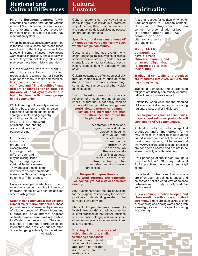## **Regional and Cultural Differences**

Prior to European contact, AI/AN communities existed throughout various areas of North America. Federal policies led to voluntary and forced relocation from familiar territory to the current day reservation system.

When the reservation system was formed in the late 1800s, some bands and tribes were forced by the U.S. government to live together. In some instances, these groups were related linguistically and culturally; in others, they were not closely related and may even have been historic enemies.

On reservations where different AI/ AN groups were forced to co-exist, repercussions occurred that still can be experienced today in those communities. **Historic rivalries, family or clan conflicts, and "Tribal politics" may present challenges for an outsider unaware of local dynamics who is trying to interact with different groups in the community.**

While there is great diversity across and within tribes, there are within-region similarities based on adaptation to ecology, climate, and geography (including traditional foods); linguistic and cultural affiliations; and sharing of information for long periods of time.

Differences in cultural groups are closely related to regional differences and may be distinguished by their language or spiritual belief systems. They are also a result of the diversity of historic homelands across the Nation and migration patterns of Tribal groups.

Cultures developed in adaptation to their natural environment and the influence of trade and interaction with non-Indians and other AI/AN groups.

#### **Urban Indian communities can be found in most major metropolitan areas.** These

populations are represented by members of a large number of different tribes and cultures that have different degrees of traditional culture and adaptation to Western culture norms. They form a sense of community through social interaction and activities, but are often "invisible," geographically disbursed, and multi-racial.

### **Cultural Customs**

Cultural customs can be viewed as a particular group or individual's preferred way of meeting their basic human needs and conducting daily activities as passed on through generations.

#### **Specific cultural customs among AI/ AN groups may vary significantly, even within a single community.**

Customs are influenced by: ethnicity, origin, language, religious/spiritual beliefs, socioeconomic status, gender, sexual orientation, age, marital status, ancestry, history, gender identity, geography, and so on.

Cultural customs are often seen explicitly through material culture such as food, dress, dance, ceremony, drumming, song, stories, symbols, and other visible manifestations.

Such outward cultural customs are a reflection of a much more ingrained and implicit culture that is not easily seen or verbalized. **Deeply held values, general world view, patterns of communication, and interaction are often the differences that affect the helping relationship.** 

> A common practice of a group or individual that represents thoughts, core values, and beliefs may be described by community members as "the way we do things" in a particular tribe, community, clan, or family. This includes decision-making processes.

#### **Respectful questions about cultural customs are generally welcomed, yet not always answered directly.**

Any questions about culture should be for the purpose of improving the service provider's understanding related to the services being provided.

Many AI/AN people have learned to "walk in two worlds" and will observe the cultural practices of their AI/AN traditions when in those settings, and will observe other cultural practices when in dominant culture settings.

٩

#### **Sharing food is a way of welcoming visitors, similar to offering a handshake.**

Food is usually offered at community meetings and other gatherings as a way to build relationships.

## **Spirituality**

A strong respect for spirituality, whether traditional (prior to European contact), Christian (resulting from European contact), or a combination of both, is common among all AI/AN communities and often forms a sense of group unity.

#### **Many AI/AN communities have a strong church community and organized religion that is integrated within their culture.**

#### **Traditional spirituality and practices are integrated into AI/AN cultures and day-to-day living.**

Traditional spirituality and/or organized religions are usually community-oriented, rather than individual-oriented.

Spirituality, world view, and the meaning of life are very diverse concepts among regions, tribes, and/or individuals.

#### **Specific practices such as ceremonies, prayers, and religious protocols will vary among AI/AN communities.**

A blend of traditions, traditional spiritual practices, and/or mainstream faiths may coexist. It is best to inquire about an individual's faith or beliefs instead of making assumptions, but be aware that many AI/AN spiritual beliefs and practices are considered sacred and are not to be shared publicly or with outsiders.

Until passage of the Indian Religious Freedom Act in 1978, many traditional AI/AN practices were illegal and kept secret.

Social/health problems and their solutions are often seen as spiritually based and as part of a holistic world view of balance between mind, body, spirit, and the environment.

**It is a common practice to open and close meetings with a prayer or short ceremony.** Elders are often asked to offer such opening and closing words and given a small gift as a sign of respect for sharing this offering.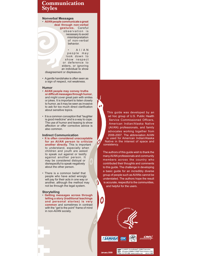## **Communication Styles**

#### **Nonverbal Messages**

• **AI/AN people communicate a great deal through non-verbal gestures.** Careful observation is necessary to avoid

misinterpretation of non-verbal behavior.

• A I / A N people may look down to show respect or deference to elders, or ignoring an individual to show

disagreement or displeasure.

• A gentle handshake is often seen as a sign of respect, not weakness.

#### **Humor**

- **AI/AN people may convey truths or difficult messages through humor,** and might cover great pain with smiles or jokes. It is important to listen closely to humor, as it may be seen as invasive to ask for too much direct clarification about sensitive topics.
- It is a common conception that "laughter is good medicine" and is a way to cope. The use of humor and teasing to show affection or offer corrective advice is also common.

#### **Indirect Communication**

- **It is often considered unacceptable for an AI/AN person to criticize another directly.** This is important to understand, especially when children and youth are asked to speak out against or testify against another person. It may be considered disloyal or disrespectful to speak negatively about the other person.
- There is a common belief that people who have acted wrongly will pay for their acts in one way or another, although the method may not be through the legal system.

#### **Storytelling**

• **Getting messages across through telling a story (traditional teachings and personal stories) is very common** and sometimes in contrast with the "get to the point" frame of mind in non-AI/AN society.

This guide was developed by an ad hoc group of U.S. Public Health Service Commissioned Officers, American Indian/Alaska Native (AI/AN) professionals, and family advocates working together from 2006-2007. The abbreviation AI/AN is used for American Indian/Alaska Native in the interest of space and consistency.

The authors of this guide wish to thank the many AI/AN professionals and community members across the country who contributed their thoughts and comments to this guide. The challenge in developing a basic guide for an incredibly diverse group of people such as AI/ANs cannot be understated. The authors hope the result is accurate, respectful to the communities, and helpful for the users.









<sup>2</sup> Z-CARD<sup>®</sup>, PocketMedia®, ©2009 Z Industries<br>US patent 5156898 Z-CARD® North America, NYC<br>CARD 212-797-3450 www.zcardna.com Job no. 1889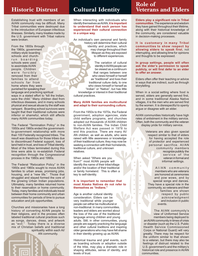## **Historic Distrust**

Establishing trust with members of an AI/AN community may be difficult. Many Tribal communities were destroyed due to the introduction of European infectious illnesses. Similarly, many treaties made by the U.S. government with Tribal nations were broken.

From the 1800s through the 1960s, government military-style boarding schools and churchrun boarding schools were used to assimilate AI/AN people. Children were forcibly removed from their families to attend schools far from home where they were punished for speaking their language and practicing spiritual ways in a stated effort to "kill the Indian, save the child." Many children died from infectious diseases, and in many schools physical and sexual abuse by the staff was rampant. Boarding school survivors were

The Federal "Termination Policy" in the 1950s and 1960s ended the governmentto-government relationship with more than 100 Federally recognized tribes. The result was disastrous for those tribes due to discontinued Federal support, loss of land held in trust, and loss of Tribal identity. Most of the tribes terminated during this time were able to re-establish Federal recognition through the Congressional process in the 1980s and 1990s.

taught that their traditional cultures were inferior or shameful, which still affects

many AI/AN communities today.

The Federal "Relocation Policy" in the 1950s and 1960s sought to move AI/AN families to urban areas, promising jobs, housing, and a "new life." Those that struggled and stayed formed the core of the growing Urban Indian populations. Ultimately, many families returned home to their reservation or home community. Today, many families and individuals travel between their home community and urban communities for periods of time to pursue education and job opportunities.

Churches and missionaries have a long history of converting AI/AN people to their religions, and in the process often labeled traditional cultural practices such as songs, dances, dress, and artwork as "evil." Today there is a diverse mix of Christian beliefs and traditional spirituality within each AI/

AN community.

## **Cultural Identity**

When interacting with individuals who identify themselves as AI/AN, **it is important to understand that each person has experienced their cultural connection in a unique way.**

An individual's own personal and family history will determine their cultural identity and practices, which may change throughout their lifespan as they are exposed to different experiences.

The variation of cultural identity in AI/AN people can be viewed as a continuum that ranges between one who views himself or herself as "traditional" and lives their traditional culture daily, to one who views himself or herself as "Indian" or "Native", but has little knowledge or interest in their traditional cultural practices.

#### **Many AI/AN families are multicultural and adapt to their surrounding culture.**

From the 1950s to the 1970s, the Federal government, adoption agencies, state child welfare programs, and churches adopted out thousands of AI/AN children to non-AI/AN families. The Indian Child Welfare Act was passed in 1978 to end this practice. There are many AI/ AN children, as well as adults, who were raised with little awareness or knowledge of their traditional culture; they may now be seeking a connection with their homelands, traditional culture, and unknown relatives.

When asked "Where are you from?" most AI/AN people will identify the name of their tribe/village and/or the location of their traditional or family homeland. This is often a key to self-identity.

#### **It is important to remember that most Alaska Natives do not refer to themselves as "Indians."**

Age is another cultural identity consideration. Elders can be very traditional while younger people can either be multicultural or non-traditional. In many communities, leaders and elders are worried about the loss of the use of the traditional language among children and young adults. Still, in other communities, young people are eagerly practicing the language and other cultural traditions and inspiring older generations who may have felt shame in their identity growing up as AI/AN.

Historical trauma and grief events, such as boarding schools or adoption outside of the tribe, may play a dramatic role in shaping attitudes, sense of identity, and levels of trust.

## **Role of Veterans and Elders**

**Elders play a significant role in Tribal communities**. The experience and wisdom they have gained throughout their lifetime, along with their historical knowledge of the community, are considered valuable in decision-making processes.

**It is customary in many Tribal communities to show respect by allowing elders to speak first**, not interrupting, and allowing time for opinions and thoughts to be expressed.

**In group settings, people will often ask the elder's permission to speak**  publicly, or will first defer to an elder **to offer an answer.**

Elders often offer their teaching or advice in ways that are indirect, such as through storytelling.

When in a social setting where food is served, elders are generally served first, and in some traditional Alaska Native villages, it is the men who are served first by the women. It is disrespectful to openly argue or disagree with an elder.

AI/AN communities historically have high rates of enlistment in the military service. Often, both the community and the veteran display pride for military service.

 $\overline{\phantom{0}}$  $\Box$ 

 $\bullet$ 

c  $\bullet$ 

Ċ

Veterans are also given special respect similar to that of elders for having accepted the role of protector and experienced personal sacrifice. AI/AN community members recognize publicly the service of the veteran in formal and informal settings.

AI/AN community members who are veterans are honored at ceremonies and pow wows, and by special songs and dances. They have a special role in the community, so veterans and their families are shown respect by public acknowledgment and inclusion in public events.

The AI/AN community's view of Uniformed Service members being deployed to an AI/AN community in times of crisis or disaster (such as the U.S. Public Health Service Commissioned Corps or National Guard) will vary greatly. There may be respect for the uniform similar to that shown to a veteran, but there may also be feelings of distrust related to the U.S. government's and the military's historical role and presence in AI/AN communities.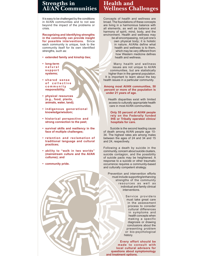## **Strengths in AI/AN Communities**

It is easy to be challenged by the conditions in AI/AN communities and to not see beyond the impact of the problems or crisis.

**Recognizing and identifying strengths in the community can provide insight for possible interventions.** Since each community is unique, look to the community itself for its own identified strengths, such as:

- **extended family and kinship ties;**
- **long-term n a t u r a l s u p p o r t systems;**
- shared sense of collective **c o m m u n i t y responsibility;**
- **physical resources (e.g., food, plants, animals, water, land);**
- **indigenous generational knowledge/wisdom;**
- **historical perspective and strong connection to the past;**
- **survival skills and resiliency in the face of multiple challenges;**
- **retention and reclamation of traditional language and cultural practices;**
- **ability to "walk in two worlds" (mainstream culture and the AI/AN cultures); and**
- **community pride.**

## **Health and Wellness Challenges**

Concepts of health and wellness are broad. The foundations of these concepts are living in a harmonious balance with all elements, as well as balance and harmony of spirit, mind, body, and the environment. Health and wellness may be all encompassing, not just one's own physical body; it is holistic in nature. AI/ANs define what health and wellness is to them, which may be very different from how Western medicine defines

Many health and wellness issues are not unique to AI/AN communities, but are statistically higher than in the general population. It is important to learn about the key health issues in a particular community.

health and wellness.

#### **Among most AI/AN communities, 50 percent or more of the population is under 21 years of age.**

Health disparities exist with limited access to culturally appropriate health care in most AI/AN communities.

#### **Only 55 percent of AI/AN people rely on the Federally funded IHS or Tribally operated clinics/ hospitals for care.**

Suicide is the second leading cause of death among AI/AN people age 10- 34. The highest rates are among males between the ages of 24 and 34 and 15 and 24, respectively.

Following a death by suicide in the community, concern about suicide clusters, suicide contagion, and the possibility of suicide pacts may be heightened. A response to a suicide or other traumatic occurrence requires a community-based and culturally competent strategy.

Prevention and intervention efforts must include supporting/enhancing strengths of the community resources as well as individual and family clinical interventions.

> Service providers must take great care in the assessment process to consider cultural differences in symptoms and health concepts when making a specific diagnosis or drawing conclusions about the presenting problem or bio-psychological history.

**Every effort should be made to consult with local cultural advisors for questions about symptomology and treatment options.**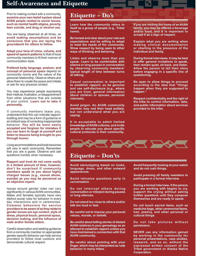## **Self-Awareness and Etiquette**

Prior to making contact with a community, **examine your own belief system about AI/AN people related to social issues, such as mental health stigma, poverty, teen suicide, and drug or alcohol use.** 

You are being observed at all times, so **avoid making assumptions and be conscious that you are laying the groundwork for others to follow.** 

**Adapt your tone of voice, volume, and speed of speech patterns** to that of local community members to fit their manner of communication style.

**Prefered body language, posture, and concept of personal space** depend on community norms and the nature of the personal relationship. Observe others and allow them to create the space and initiate or ask for any physical contact.

You may experience people expressing their mistrust, frustration, or disappointment from other situations that are outside of your control. **Learn not to take it personally.**

If community members tease you, understand that this can indicate rapportbuilding and may be a form of guidance or an indirect way of correcting inappropriate behavior. **You will be more easily accepted and forgiven for mistakes if you can learn to laugh at yourself and listen to lessons being brought to you through humor.** 

Living accommodations and local resources will vary in each community. Remember that you are a guest. Observe and ask questions humbly when necessary.

**Rapport and trust do not come easily in a limited amount of time; however, don't be surprised if community members speak to you about highly charged issues (e.g., sexual abuse, suicide) as you may be perceived as an objective expert.**

Issues around gender roles can vary significantly in various AI/AN communities. Males and females typically have very distinct social rules for behavior in every day interactions and in ceremonies. **Common behaviors for service providers to be aware of as they relate to gender issues are eye contact, style of dress, physical touch, personal space,**  decision making, and the influence of **male and/or female elders.**

Careful observation and seeking guidance from a community member on appropriate gender-specific behavior can help service providers to follow local customs and demonstrate cultural respect.

## **Etiquette – Do's**

**Learn how the community refers to itself as a group of people (e.g., Tribal name).**

**Be honest and clear about your role and expectations and be willing to adapt to meet the needs of the community. Show respect by being open to other ways of thinking and behaving.**

**Listen and observe more than you speak. Learn to be comfortable with silence or long pauses in conversation by observing community members' typical length of time between turns at talking.** 

**Casual conversation is important to establish rapport, so be genuine and use self-disclosure (e.g., where you are from, general information about children or spouse, personal interests).**

**Avoid jargon. An AI/AN community member may nod their head politely, but not understand what you are saying.** 

**It is acceptable to admit limited knowledge of AI/AN cultures, and invite**  people to educate you about specific **cultural protocols in their community.** 

**If you are visiting the home of an AI/AN family, you may be offered a beverage and/or food, and it is important to accept it as a sign of respect.**

**Explain what you are writing when making clinical documentation or charting in the presence of the individual and family.**

**During formal interviews, it may be best to offer general invitations to speak, then remain quiet, sit back, and listen. Allow the person to tell their story**  before engaging in a specific line of **questioning.**

**Be open to allow things to proceed according to the idea that "things happen when they are supposed to happen."**

**Respect confidentiality and the right of the tribe to control information, data, and public information about services provided to the tribe.**



## **Etiquette – Don'ts**

**Avoid stereotyping based on looks, language, dress, and other outward appearances.** 

**Avoid intrusive questions early in conversation.**

**Do not interrupt others during conversation or interject during pauses or long silences.** 

**Do not stand too close to others and/or talk too loud or fast.** 

**Be careful not to impose your personal values, morals, or beliefs.** 

**Be careful about telling stories of distant AI/AN relatives in your genealogy as an attempt to establish rapport unless you have maintained a connection with that AI/AN community.**

**Be careful about pointing with your - nger, which may be interpreted as rude behavior in many tribes.**

**Avoid frequently looking at your watch and do not rush things.** 

**Avoid pressing all family members to participate in a formal interview.**

**During a formal interview, if the person you are working with begins to cry, support the crying without asking further questions until they compose themselves and are ready to speak.** 

**Do not touch sacred items, such as medicine bags, other ceremonial items, hair, jewelry, and other personal or cultural things.**

**Do not take pictures without permission.**

**NEVER use any information gained by working in the community for personal presentations, case studies, research, and so on, without the expressed written consent of the Tribal government or Alaska Native Corporation.**